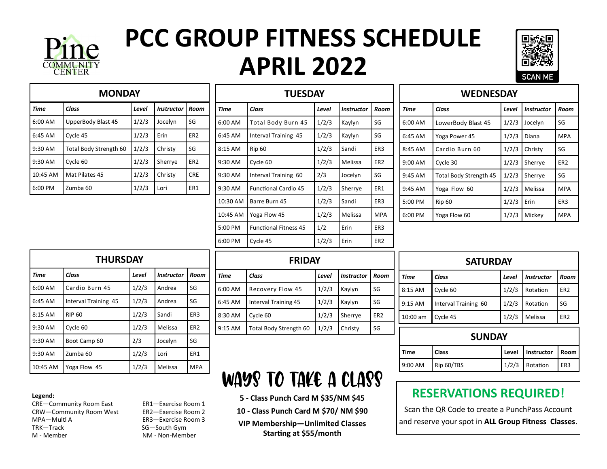

# **PCC GROUP FITNESS SCHEDULE APRIL 2022**



| <b>MONDAY</b> |                        |       |                   |                 |
|---------------|------------------------|-------|-------------------|-----------------|
| Time          | Class                  | Level | <b>Instructor</b> | Room            |
| 6:00 AM       | UpperBody Blast 45     | 1/2/3 | Jocelyn           | SG              |
| $6:45$ AM     | Cycle 45               | 1/2/3 | Erin              | ER <sub>2</sub> |
| $9:30$ AM     | Total Body Strength 60 | 1/2/3 | Christy           | SG              |
| $9:30$ AM     | Cycle 60               | 1/2/3 | Sherrye           | ER <sub>2</sub> |
| 10:45 AM      | Mat Pilates 45         | 1/2/3 | Christy           | <b>CRE</b>      |
| $6:00$ PM     | Zumba 60               | 1/2/3 | Lori              | ER1             |

| <b>TUESDAY</b> |                              |       |                   |                 |
|----------------|------------------------------|-------|-------------------|-----------------|
| Time           | Class                        | Level | <b>Instructor</b> | Room            |
| 6:00 AM        | Total Body Burn 45           | 1/2/3 | Kaylyn            | SG              |
| 6:45 AM        | Interval Training 45         | 1/2/3 | Kaylyn            | SG              |
| 8:15 AM        | <b>Rip 60</b>                | 1/2/3 | Sandi             | ER3             |
| 9:30 AM        | Cycle 60                     | 1/2/3 | Melissa           | ER <sub>2</sub> |
| 9:30 AM        | Interval Training 60         | 2/3   | Jocelyn           | SG              |
| 9:30 AM        | <b>Functional Cardio 45</b>  | 1/2/3 | Sherrye           | ER1             |
| 10:30 AM       | Barre Burn 45                | 1/2/3 | Sandi             | ER3             |
| 10:45 AM       | Yoga Flow 45                 | 1/2/3 | Melissa           | <b>MPA</b>      |
| 5:00 PM        | <b>Functional Fitness 45</b> | 1/2   | Erin              | ER3             |
| 6:00 PM        | Cycle 45                     | 1/2/3 | Erin              | ER <sub>2</sub> |

| <b>WEDNESDAY</b> |                        |              |                   |                 |
|------------------|------------------------|--------------|-------------------|-----------------|
| Time             | Class                  | <b>Level</b> | <b>Instructor</b> | Room            |
| 6:00 AM          | LowerBody Blast 45     | 1/2/3        | Jocelyn           | SG              |
| 6:45 AM          | Yoga Power 45          | 1/2/3        | Diana             | <b>MPA</b>      |
| 8:45 AM          | Cardio Burn 60         | 1/2/3        | Christy           | SG              |
| 9:00 AM          | Cycle 30               | 1/2/3        | Sherrye           | ER <sub>2</sub> |
| 9:45 AM          | Total Body Strength 45 | 1/2/3        | Sherrye           | SG              |
| 9:45 AM          | Yoga Flow 60           | 1/2/3        | Melissa           | <b>MPA</b>      |
| 5:00 PM          | <b>Rip 60</b>          | 1/2/3        | Erin              | ER <sub>3</sub> |
| 6:00 PM          | Yoga Flow 60           | 1/2/3        | Mickey            | <b>MPA</b>      |

| <b>THURSDAY</b> |                      |       |                   |                 |
|-----------------|----------------------|-------|-------------------|-----------------|
| <b>Time</b>     | Class                | Level | <b>Instructor</b> | Room            |
| 6:00 AM         | Cardio Burn 45       | 1/2/3 | Andrea            | SG              |
| 6:45 AM         | Interval Training 45 | 1/2/3 | Andrea            | SG              |
| 8:15 AM         | <b>RIP 60</b>        | 1/2/3 | Sandi             | ER <sub>3</sub> |
| 9:30 AM         | Cycle 60             | 1/2/3 | Melissa           | ER <sub>2</sub> |
| $9:30$ AM       | Boot Camp 60         | 2/3   | Jocelyn           | SG              |
| 9:30 AM         | Zumba 60             | 1/2/3 | Lori              | ER1             |
| 10:45 AM        | Yoga Flow 45         | 1/2/3 | Melissa           | <b>MPA</b>      |

| <b>FRIDAY</b> |                        |       |                   |                 |
|---------------|------------------------|-------|-------------------|-----------------|
| <b>Time</b>   | Class                  | Level | <b>Instructor</b> | Room            |
| 6:00 AM       | Recovery Flow 45       | 1/2/3 | Kaylyn            | SG              |
| 6:45 AM       | Interval Training 45   | 1/2/3 | Kaylyn            | SG              |
| 8:30 AM       | Cycle 60               | 1/2/3 | Sherrye           | ER <sub>2</sub> |
| 9:15 AM       | Total Body Strength 60 | 1/2/3 | Christy           | SG              |

## Ways to take a class

**5 - Class Punch Card M \$35/NM \$45**

**10 - Class Punch Card M \$70/ NM \$90**

**VIP Membership—Unlimited Classes Starting at \$55/month**

| <b>SATURDAY</b> |                      |       |                   |                 |
|-----------------|----------------------|-------|-------------------|-----------------|
| <b>Time</b>     | Class                | Level | <b>Instructor</b> | Room            |
| 8:15 AM         | Cycle 60             | 1/2/3 | Rotation          | ER <sub>2</sub> |
| $9:15$ AM       | Interval Training 60 | 1/2/3 | Rotation          | SG              |
| $10:00$ am      | Cycle 45             | 1/2/3 | Melissa           | ER <sub>2</sub> |
| <b>SUNDAY</b>   |                      |       |                   |                 |
| <b>Time</b>     | <b>Class</b>         | Level | Instructor        | Room            |
| 9:00 AM         | Rip 60/TBS           | 1/2/3 | Rotation          | ER3             |

### **RESERVATIONS REQUIRED!**

Scan the QR Code to create a PunchPass Account and reserve your spot in **ALL Group Fitness Classes**.

#### **Legend:**

CRE—Community Room East ER1—Exercise Room 1<br>CRW—Community Room West ER2—Exercise Room 2 CRW-Community Room West MPA—Multi A ER3—Exercise Room 3<br>TRK—Track SG—South Gym TRK—Track SG—South Gym

NM - Non-Member